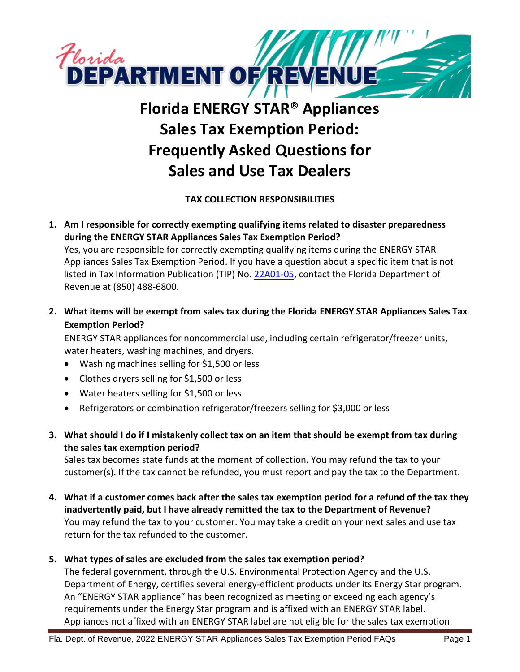

# **Florida ENERGY STAR® Appliances Sales Tax Exemption Period: Frequently Asked Questions for Sales and Use Tax Dealers**

# **TAX COLLECTION RESPONSIBILITIES**

- **1. Am I responsible for correctly exempting qualifying items related to disaster preparedness during the ENERGY STAR Appliances Sales Tax Exemption Period?** Yes, you are responsible for correctly exempting qualifying items during the ENERGY STAR Appliances Sales Tax Exemption Period. If you have a question about a specific item that is not listed in Tax Information Publication (TIP) No. [22A01-05,](https://floridarevenue.com/taxes/tips/Documents/TIP_22A01-05.pdf) contact the Florida Department of Revenue at (850) 488-6800.
- **2. What items will be exempt from sales tax during the Florida ENERGY STAR Appliances Sales Tax Exemption Period?**

ENERGY STAR appliances for noncommercial use, including certain refrigerator/freezer units, water heaters, washing machines, and dryers.

- Washing machines selling for \$1,500 or less
- Clothes dryers selling for \$1,500 or less
- Water heaters selling for \$1,500 or less
- Refrigerators or combination refrigerator/freezers selling for \$3,000 or less
- **3. What should I do if I mistakenly collect tax on an item that should be exempt from tax during the sales tax exemption period?**

Sales tax becomes state funds at the moment of collection. You may refund the tax to your customer(s). If the tax cannot be refunded, you must report and pay the tax to the Department.

**4. What if a customer comes back after the sales tax exemption period for a refund of the tax they inadvertently paid, but I have already remitted the tax to the Department of Revenue?** You may refund the tax to your customer. You may take a credit on your next sales and use tax return for the tax refunded to the customer.

# **5. What types of sales are excluded from the sales tax exemption period?**

The federal government, through the U.S. Environmental Protection Agency and the U.S. Department of Energy, certifies several energy-efficient products under its Energy Star program. An "ENERGY STAR appliance" has been recognized as meeting or exceeding each agency's requirements under the Energy Star program and is affixed with an ENERGY STAR label. Appliances not affixed with an ENERGY STAR label are not eligible for the sales tax exemption.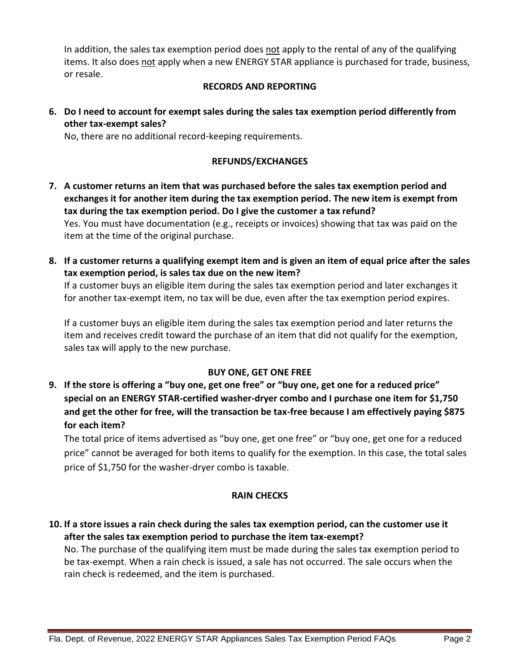In addition, the sales tax exemption period does not apply to the rental of any of the qualifying items. It also does not apply when a new ENERGY STAR appliance is purchased for trade, business, or resale.

#### **RECORDS AND REPORTING**

**6. Do I need to account for exempt sales during the sales tax exemption period differently from other tax-exempt sales?**

No, there are no additional record-keeping requirements.

## **REFUNDS/EXCHANGES**

- **7. A customer returns an item that was purchased before the sales tax exemption period and exchanges it for another item during the tax exemption period. The new item is exempt from tax during the tax exemption period. Do I give the customer a tax refund?** Yes. You must have documentation (e.g., receipts or invoices) showing that tax was paid on the item at the time of the original purchase.
- **8. If a customer returns a qualifying exempt item and is given an item of equal price after the sales tax exemption period, is sales tax due on the new item?**

If a customer buys an eligible item during the sales tax exemption period and later exchanges it for another tax-exempt item, no tax will be due, even after the tax exemption period expires.

If a customer buys an eligible item during the sales tax exemption period and later returns the item and receives credit toward the purchase of an item that did not qualify for the exemption, sales tax will apply to the new purchase.

#### **BUY ONE, GET ONE FREE**

**9. If the store is offering a "buy one, get one free" or "buy one, get one for a reduced price" special on an ENERGY STAR-certified washer-dryer combo and I purchase one item for \$1,750 and get the other for free, will the transaction be tax-free because I am effectively paying \$875 for each item?**

The total price of items advertised as "buy one, get one free" or "buy one, get one for a reduced price" cannot be averaged for both items to qualify for the exemption. In this case, the total sales price of \$1,750 for the washer-dryer combo is taxable.

#### **RAIN CHECKS**

**10. If a store issues a rain check during the sales tax exemption period, can the customer use it after the sales tax exemption period to purchase the item tax-exempt?**

No. The purchase of the qualifying item must be made during the sales tax exemption period to be tax-exempt. When a rain check is issued, a sale has not occurred. The sale occurs when the rain check is redeemed, and the item is purchased.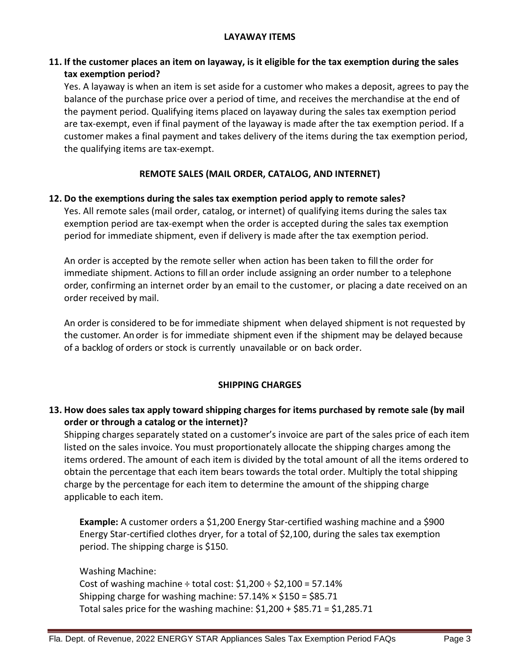## **11. If the customer places an item on layaway, is it eligible for the tax exemption during the sales tax exemption period?**

Yes. A layaway is when an item is set aside for a customer who makes a deposit, agrees to pay the balance of the purchase price over a period of time, and receives the merchandise at the end of the payment period. Qualifying items placed on layaway during the sales tax exemption period are tax-exempt, even if final payment of the layaway is made after the tax exemption period. If a customer makes a final payment and takes delivery of the items during the tax exemption period, the qualifying items are tax-exempt.

## **REMOTE SALES (MAIL ORDER, CATALOG, AND INTERNET)**

#### **12. Do the exemptions during the sales tax exemption period apply to remote sales?**

Yes. All remote sales (mail order, catalog, or internet) of qualifying items during the sales tax exemption period are tax-exempt when the order is accepted during the sales tax exemption period for immediate shipment, even if delivery is made after the tax exemption period.

An order is accepted by the remote seller when action has been taken to fillthe order for immediate shipment. Actions to fill an order include assigning an order number to a telephone order, confirming an internet order by an email to the customer, or placing a date received on an order received by mail.

An order is considered to be for immediate shipment when delayed shipment is not requested by the customer. An order is for immediate shipment even if the shipment may be delayed because of a backlog of orders or stock is currently unavailable or on back order.

#### **SHIPPING CHARGES**

# **13. How does sales tax apply toward shipping charges for items purchased by remote sale (by mail order or through a catalog or the internet)?**

Shipping charges separately stated on a customer's invoice are part of the sales price of each item listed on the sales invoice. You must proportionately allocate the shipping charges among the items ordered. The amount of each item is divided by the total amount of all the items ordered to obtain the percentage that each item bears towards the total order. Multiply the total shipping charge by the percentage for each item to determine the amount of the shipping charge applicable to each item.

**Example:** A customer orders a \$1,200 Energy Star-certified washing machine and a \$900 Energy Star-certified clothes dryer, for a total of \$2,100, during the sales tax exemption period. The shipping charge is \$150.

Washing Machine:

Cost of washing machine  $\div$  total cost:  $$1,200 \div $2,100 = 57.14\%$ Shipping charge for washing machine:  $57.14\% \times $150 = $85.71$ Total sales price for the washing machine:  $$1,200 + $85.71 = $1,285.71$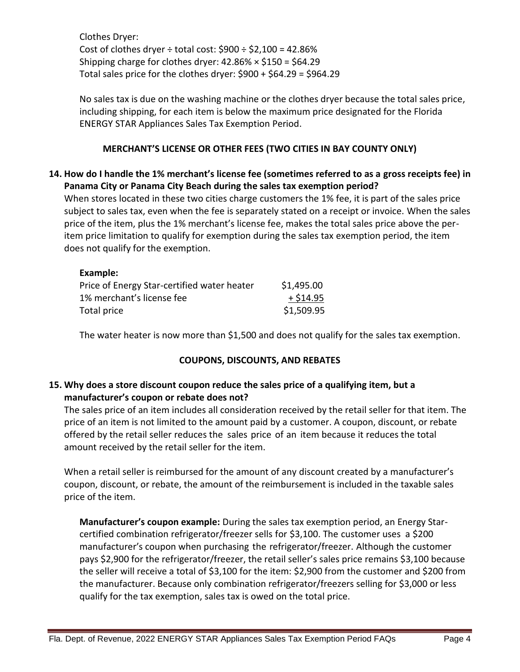Clothes Dryer: Cost of clothes dryer  $\div$  total cost:  $$900 \div $2,100 = 42.86\%$ Shipping charge for clothes dryer:  $42.86\% \times $150 = $64.29$ Total sales price for the clothes dryer:  $$900 + $64.29 = $964.29$ 

No sales tax is due on the washing machine or the clothes dryer because the total sales price, including shipping, for each item is below the maximum price designated for the Florida ENERGY STAR Appliances Sales Tax Exemption Period.

## **MERCHANT'S LICENSE OR OTHER FEES (TWO CITIES IN BAY COUNTY ONLY)**

## **14. How do I handle the 1% merchant's license fee (sometimes referred to as a gross receipts fee) in Panama City or Panama City Beach during the sales tax exemption period?**

When stores located in these two cities charge customers the 1% fee, it is part of the sales price subject to sales tax, even when the fee is separately stated on a receipt or invoice. When the sales price of the item, plus the 1% merchant's license fee, makes the total sales price above the peritem price limitation to qualify for exemption during the sales tax exemption period, the item does not qualify for the exemption.

| Example:                                    |            |
|---------------------------------------------|------------|
| Price of Energy Star-certified water heater | \$1,495.00 |
| 1% merchant's license fee                   | $+ $14.95$ |
| Total price                                 | \$1,509.95 |

The water heater is now more than \$1,500 and does not qualify for the sales tax exemption.

#### **COUPONS, DISCOUNTS, AND REBATES**

# **15. Why does a store discount coupon reduce the sales price of a qualifying item, but a manufacturer's coupon or rebate does not?**

The sales price of an item includes all consideration received by the retail seller for that item. The price of an item is not limited to the amount paid by a customer. A coupon, discount, or rebate offered by the retail seller reduces the sales price of an item because it reduces the total amount received by the retail seller for the item.

When a retail seller is reimbursed for the amount of any discount created by a manufacturer's coupon, discount, or rebate, the amount of the reimbursement is included in the taxable sales price of the item.

**Manufacturer's coupon example:** During the sales tax exemption period, an Energy Starcertified combination refrigerator/freezer sells for \$3,100. The customer uses a \$200 manufacturer's coupon when purchasing the refrigerator/freezer. Although the customer pays \$2,900 for the refrigerator/freezer, the retail seller's sales price remains \$3,100 because the seller will receive a total of \$3,100 for the item: \$2,900 from the customer and \$200 from the manufacturer. Because only combination refrigerator/freezers selling for \$3,000 or less qualify for the tax exemption, sales tax is owed on the total price.